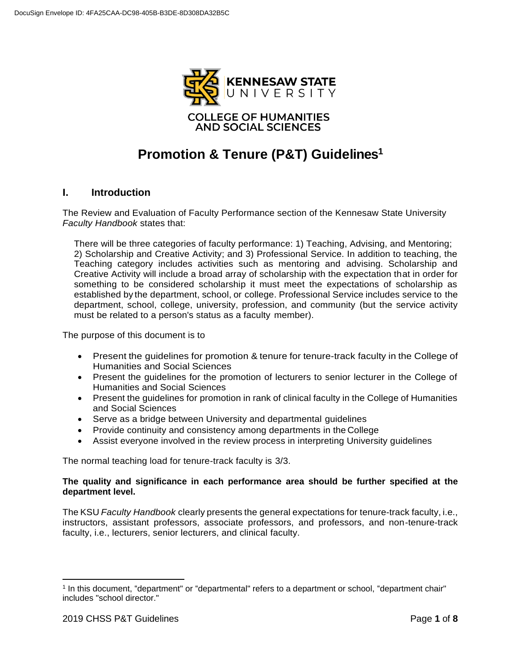

# **Promotion & Tenure (P&T) Guidelines<sup>1</sup>**

## **I. Introduction**

The Review and Evaluation of Faculty Performance section of the Kennesaw State University *Faculty Handbook* states that:

There will be three categories of faculty performance: 1) Teaching, Advising, and Mentoring; 2) Scholarship and Creative Activity; and 3) Professional Service. In addition to teaching, the Teaching category includes activities such as mentoring and advising. Scholarship and Creative Activity will include a broad array of scholarship with the expectation that in order for something to be considered scholarship it must meet the expectations of scholarship as established by the department, school, or college. Professional Service includes service to the department, school, college, university, profession, and community (but the service activity must be related to a person's status as a faculty member).

The purpose of this document is to

- Present the guidelines for promotion & tenure for tenure-track faculty in the College of Humanities and Social Sciences
- Present the guidelines for the promotion of lecturers to senior lecturer in the College of Humanities and Social Sciences
- Present the guidelines for promotion in rank of clinical faculty in the College of Humanities and Social Sciences
- Serve as a bridge between University and departmental guidelines
- Provide continuity and consistency among departments in the College
- Assist everyone involved in the review process in interpreting University guidelines

The normal teaching load for tenure-track faculty is 3/3.

#### **The quality and significance in each performance area should be further specified at the department level.**

The KSU *Faculty Handbook* clearly presents the general expectations for tenure-track faculty, i.e., instructors, assistant professors, associate professors, and professors, and non-tenure-track faculty, i.e., lecturers, senior lecturers, and clinical faculty.

<sup>1</sup> In this document, "department" or "departmental" refers to a department or school, "department chair" includes "school director."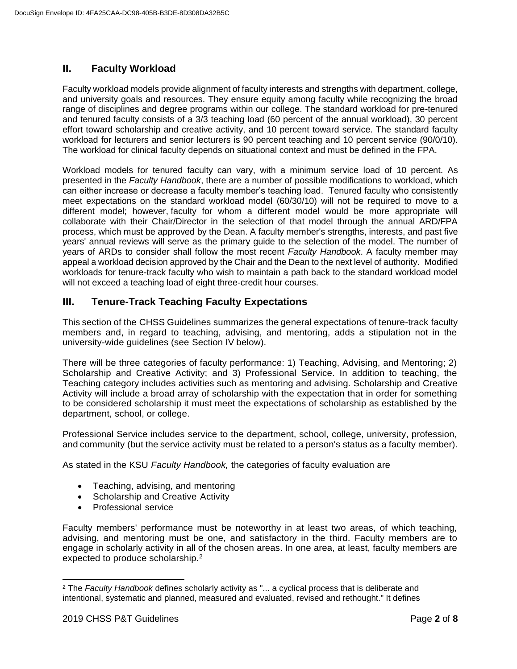# **II. Faculty Workload**

Faculty workload models provide alignment of faculty interests and strengths with department, college, and university goals and resources. They ensure equity among faculty while recognizing the broad range of disciplines and degree programs within our college. The standard workload for pre-tenured and tenured faculty consists of a 3/3 teaching load (60 percent of the annual workload), 30 percent effort toward scholarship and creative activity, and 10 percent toward service. The standard faculty workload for lecturers and senior lecturers is 90 percent teaching and 10 percent service (90/0/10). The workload for clinical faculty depends on situational context and must be defined in the FPA.

Workload models for tenured faculty can vary, with a minimum service load of 10 percent. As presented in the *Faculty Handbook*, there are a number of possible modifications to workload, which can either increase or decrease a faculty member's teaching load. Tenured faculty who consistently meet expectations on the standard workload model (60/30/10) will not be required to move to a different model; however, faculty for whom a different model would be more appropriate will collaborate with their Chair/Director in the selection of that model through the annual ARD/FPA process, which must be approved by the Dean. A faculty member's strengths, interests, and past five years' annual reviews will serve as the primary guide to the selection of the model. The number of years of ARDs to consider shall follow the most recent *Faculty Handbook*. A faculty member may appeal a workload decision approved by the Chair and the Dean to the next level of authority. Modified workloads for tenure-track faculty who wish to maintain a path back to the standard workload model will not exceed a teaching load of eight three-credit hour courses.

# **III. Tenure-Track Teaching Faculty Expectations**

This section of the CHSS Guidelines summarizes the general expectations of tenure-track faculty members and, in regard to teaching, advising, and mentoring, adds a stipulation not in the university-wide guidelines (see Section IV below).

There will be three categories of faculty performance: 1) Teaching, Advising, and Mentoring; 2) Scholarship and Creative Activity; and 3) Professional Service. In addition to teaching, the Teaching category includes activities such as mentoring and advising. Scholarship and Creative Activity will include a broad array of scholarship with the expectation that in order for something to be considered scholarship it must meet the expectations of scholarship as established by the department, school, or college.

Professional Service includes service to the department, school, college, university, profession, and community (but the service activity must be related to a person's status as a faculty member).

As stated in the KSU *Faculty Handbook,* the categories of faculty evaluation are

- Teaching, advising, and mentoring
- Scholarship and Creative Activity
- Professional service

Faculty members' performance must be noteworthy in at least two areas, of which teaching, advising, and mentoring must be one, and satisfactory in the third. Faculty members are to engage in scholarly activity in all of the chosen areas. In one area, at least, faculty members are expected to produce scholarship.<sup>2</sup>

 <sup>2</sup> The *Faculty Handbook* defines scholarly activity as "... a cyclical process that is deliberate and intentional, systematic and planned, measured and evaluated, revised and rethought." It defines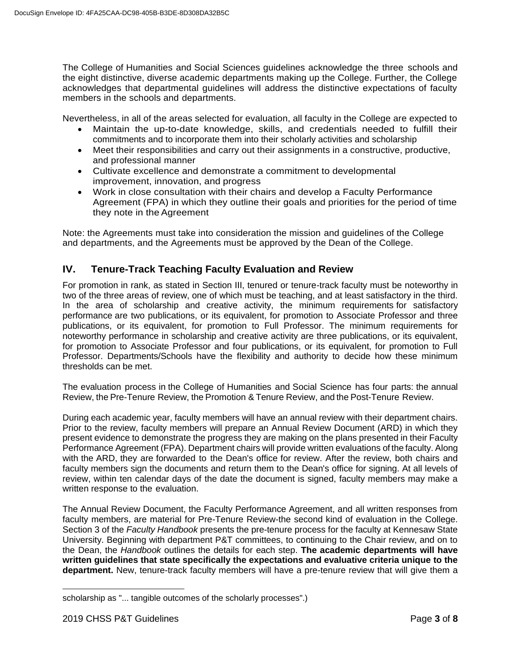The College of Humanities and Social Sciences guidelines acknowledge the three schools and the eight distinctive, diverse academic departments making up the College. Further, the College acknowledges that departmental guidelines will address the distinctive expectations of faculty members in the schools and departments.

Nevertheless, in all of the areas selected for evaluation, all faculty in the College are expected to

- Maintain the up-to-date knowledge, skills, and credentials needed to fulfill their commitments and to incorporate them into their scholarly activities and scholarship
- Meet their responsibilities and carry out their assignments in a constructive, productive, and professional manner
- Cultivate excellence and demonstrate a commitment to developmental improvement, innovation, and progress
- Work in close consultation with their chairs and develop a Faculty Performance Agreement (FPA) in which they outline their goals and priorities for the period of time they note in the Agreement

Note: the Agreements must take into consideration the mission and guidelines of the College and departments, and the Agreements must be approved by the Dean of the College.

# **IV. Tenure-Track Teaching Faculty Evaluation and Review**

For promotion in rank, as stated in Section III, tenured or tenure-track faculty must be noteworthy in two of the three areas of review, one of which must be teaching, and at least satisfactory in the third. In the area of scholarship and creative activity, the minimum requirements for satisfactory performance are two publications, or its equivalent, for promotion to Associate Professor and three publications, or its equivalent, for promotion to Full Professor. The minimum requirements for noteworthy performance in scholarship and creative activity are three publications, or its equivalent, for promotion to Associate Professor and four publications, or its equivalent, for promotion to Full Professor. Departments/Schools have the flexibility and authority to decide how these minimum thresholds can be met.

The evaluation process in the College of Humanities and Social Science has four parts: the annual Review, the Pre-Tenure Review, the Promotion & Tenure Review, and the Post-Tenure Review.

During each academic year, faculty members will have an annual review with their department chairs. Prior to the review, faculty members will prepare an Annual Review Document (ARD) in which they present evidence to demonstrate the progress they are making on the plans presented in their Faculty Performance Agreement (FPA). Department chairs will provide written evaluations of the faculty. Along with the ARD, they are forwarded to the Dean's office for review. After the review, both chairs and faculty members sign the documents and return them to the Dean's office for signing. At all levels of review, within ten calendar days of the date the document is signed, faculty members may make a written response to the evaluation.

The Annual Review Document, the Faculty Performance Agreement, and all written responses from faculty members, are material for Pre-Tenure Review-the second kind of evaluation in the College. Section 3 of the *Faculty Handbook* presents the pre-tenure process for the faculty at Kennesaw State University. Beginning with department P&T committees, to continuing to the Chair review, and on to the Dean, the *Handbook* outlines the details for each step. **The academic departments will have written guidelines that state specifically the expectations and evaluative criteria unique to the department.** New, tenure-track faculty members will have a pre-tenure review that will give them a

 $\overline{a}$ 

scholarship as "... tangible outcomes of the scholarly processes".)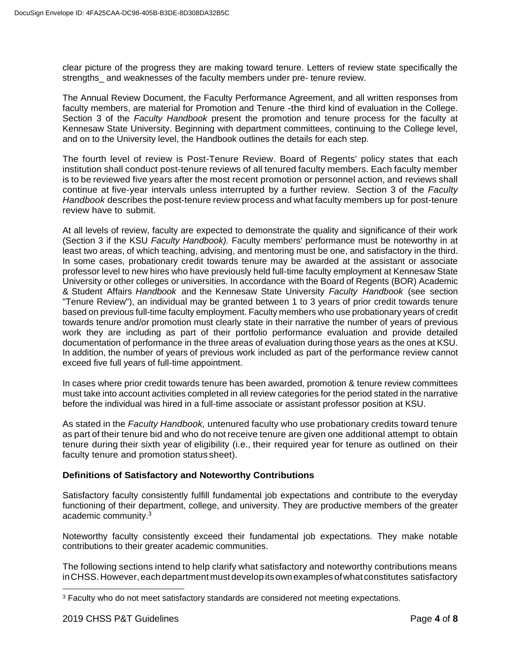clear picture of the progress they are making toward tenure. Letters of review state specifically the strengths and weaknesses of the faculty members under pre- tenure review.

The Annual Review Document, the Faculty Performance Agreement, and all written responses from faculty members, are material for Promotion and Tenure -the third kind of evaluation in the College. Section 3 of the *Faculty Handbook* present the promotion and tenure process for the faculty at Kennesaw State University. Beginning with department committees, continuing to the College level, and on to the University level, the Handbook outlines the details for each step.

The fourth level of review is Post-Tenure Review. Board of Regents' policy states that each institution shall conduct post-tenure reviews of all tenured faculty members. Each faculty member is to be reviewed five years after the most recent promotion or personnel action, and reviews shall continue at five-year intervals unless interrupted by a further review. Section 3 of the *Faculty Handbook* describes the post-tenure review process and what faculty members up for post-tenure review have to submit.

At all levels of review, faculty are expected to demonstrate the quality and significance of their work (Section 3 if the KSU *Faculty Handbook).* Faculty members' performance must be noteworthy in at least two areas, of which teaching, advising, and mentoring must be one, and satisfactory in the third. In some cases, probationary credit towards tenure may be awarded at the assistant or associate professor level to new hires who have previously held full-time faculty employment at Kennesaw State University or other colleges or universities. In accordance with the Board of Regents (BOR) Academic & Student Affairs *Handbook* and the Kennesaw State University *Faculty Handbook* (see section "Tenure Review"), an individual may be granted between 1 to 3 years of prior credit towards tenure based on previous full-time faculty employment. Faculty members who use probationary years of credit towards tenure and/or promotion must clearly state in their narrative the number of years of previous work they are including as part of their portfolio performance evaluation and provide detailed documentation of performance in the three areas of evaluation during those years as the ones at KSU. In addition, the number of years of previous work included as part of the performance review cannot exceed five full years of full-time appointment.

In cases where prior credit towards tenure has been awarded, promotion & tenure review committees must take into account activities completed in all review categories for the period stated in the narrative before the individual was hired in a full-time associate or assistant professor position at KSU.

As stated in the *Faculty Handbook,* untenured faculty who use probationary credits toward tenure as part of their tenure bid and who do not receive tenure are given one additional attempt to obtain tenure during their sixth year of eligibility (i.e., their required year for tenure as outlined on their faculty tenure and promotion status sheet).

#### **Definitions of Satisfactory and Noteworthy Contributions**

Satisfactory faculty consistently fulfill fundamental job expectations and contribute to the everyday functioning of their department, college, and university. They are productive members of the greater academic community.<sup>3</sup>

Noteworthy faculty consistently exceed their fundamental job expectations. They make notable contributions to their greater academic communities.

The following sections intend to help clarify what satisfactory and noteworthy contributions means in CHSS. However, each department must develop its own examples of what constitutes satisfactory

 $\overline{a}$ 

<sup>&</sup>lt;sup>3</sup> Faculty who do not meet satisfactory standards are considered not meeting expectations.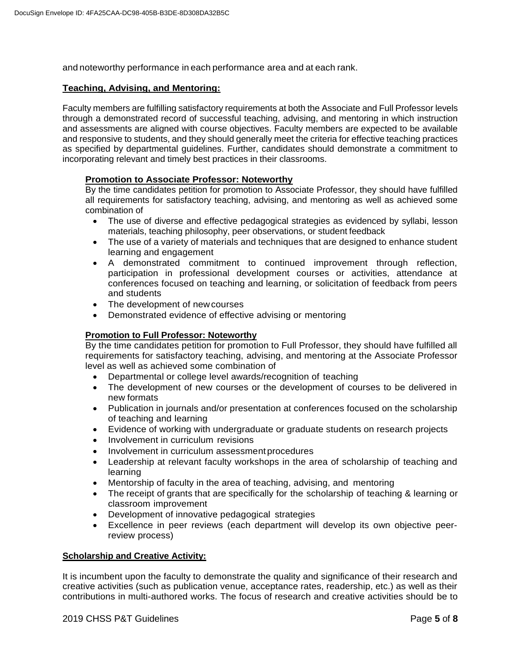and noteworthy performance in each performance area and at each rank.

#### **Teaching, Advising, and Mentoring:**

Faculty members are fulfilling satisfactory requirements at both the Associate and Full Professor levels through a demonstrated record of successful teaching, advising, and mentoring in which instruction and assessments are aligned with course objectives. Faculty members are expected to be available and responsive to students, and they should generally meet the criteria for effective teaching practices as specified by departmental guidelines. Further, candidates should demonstrate a commitment to incorporating relevant and timely best practices in their classrooms.

#### **Promotion to Associate Professor: Noteworthy**

By the time candidates petition for promotion to Associate Professor, they should have fulfilled all requirements for satisfactory teaching, advising, and mentoring as well as achieved some combination of

- The use of diverse and effective pedagogical strategies as evidenced by syllabi, lesson materials, teaching philosophy, peer observations, or student feedback
- The use of a variety of materials and techniques that are designed to enhance student learning and engagement
- A demonstrated commitment to continued improvement through reflection, participation in professional development courses or activities, attendance at conferences focused on teaching and learning, or solicitation of feedback from peers and students
- The development of new courses
- Demonstrated evidence of effective advising or mentoring

#### **Promotion to Full Professor: Noteworthy**

By the time candidates petition for promotion to Full Professor, they should have fulfilled all requirements for satisfactory teaching, advising, and mentoring at the Associate Professor level as well as achieved some combination of

- Departmental or college level awards/recognition of teaching
- The development of new courses or the development of courses to be delivered in new formats
- Publication in journals and/or presentation at conferences focused on the scholarship of teaching and learning
- Evidence of working with undergraduate or graduate students on research projects
- Involvement in curriculum revisions
- Involvement in curriculum assessment procedures
- Leadership at relevant faculty workshops in the area of scholarship of teaching and learning
- Mentorship of faculty in the area of teaching, advising, and mentoring
- The receipt of grants that are specifically for the scholarship of teaching & learning or classroom improvement
- Development of innovative pedagogical strategies
- Excellence in peer reviews (each department will develop its own objective peerreview process)

#### **Scholarship and Creative Activity:**

It is incumbent upon the faculty to demonstrate the quality and significance of their research and creative activities (such as publication venue, acceptance rates, readership, etc.) as well as their contributions in multi-authored works. The focus of research and creative activities should be to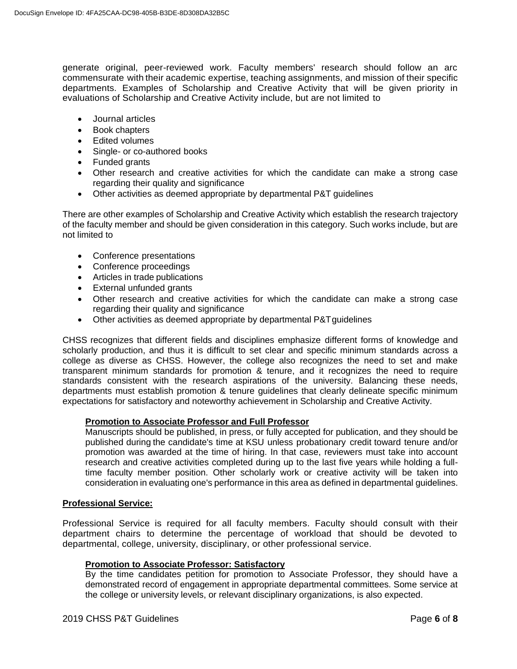generate original, peer-reviewed work. Faculty members' research should follow an arc commensurate with their academic expertise, teaching assignments, and mission of their specific departments. Examples of Scholarship and Creative Activity that will be given priority in evaluations of Scholarship and Creative Activity include, but are not limited to

- Journal articles
- Book chapters
- Edited volumes
- Single- or co-authored books
- Funded grants
- Other research and creative activities for which the candidate can make a strong case regarding their quality and significance
- Other activities as deemed appropriate by departmental P&T guidelines

There are other examples of Scholarship and Creative Activity which establish the research trajectory of the faculty member and should be given consideration in this category. Such works include, but are not limited to

- Conference presentations
- Conference proceedings
- Articles in trade publications
- External unfunded grants
- Other research and creative activities for which the candidate can make a strong case regarding their quality and significance
- Other activities as deemed appropriate by departmental P&Tguidelines

CHSS recognizes that different fields and disciplines emphasize different forms of knowledge and scholarly production, and thus it is difficult to set clear and specific minimum standards across a college as diverse as CHSS. However, the college also recognizes the need to set and make transparent minimum standards for promotion & tenure, and it recognizes the need to require standards consistent with the research aspirations of the university. Balancing these needs, departments must establish promotion & tenure guidelines that clearly delineate specific minimum expectations for satisfactory and noteworthy achievement in Scholarship and Creative Activity.

#### **Promotion to Associate Professor and Full Professor**

Manuscripts should be published, in press, or fully accepted for publication, and they should be published during the candidate's time at KSU unless probationary credit toward tenure and/or promotion was awarded at the time of hiring. In that case, reviewers must take into account research and creative activities completed during up to the last five years while holding a fulltime faculty member position. Other scholarly work or creative activity will be taken into consideration in evaluating one's performance in this area as defined in departmental guidelines.

#### **Professional Service:**

Professional Service is required for all faculty members. Faculty should consult with their department chairs to determine the percentage of workload that should be devoted to departmental, college, university, disciplinary, or other professional service.

#### **Promotion to Associate Professor: Satisfactory**

By the time candidates petition for promotion to Associate Professor, they should have a demonstrated record of engagement in appropriate departmental committees. Some service at the college or university levels, or relevant disciplinary organizations, is also expected.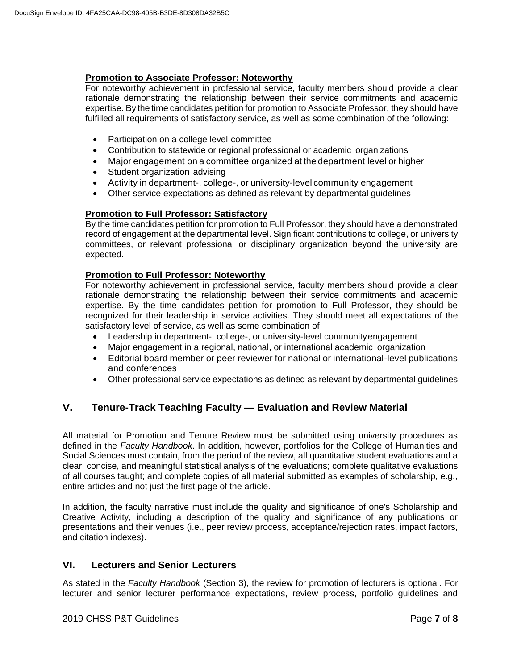#### **Promotion to Associate Professor: Noteworthy**

For noteworthy achievement in professional service, faculty members should provide a clear rationale demonstrating the relationship between their service commitments and academic expertise. By the time candidates petition for promotion to Associate Professor, they should have fulfilled all requirements of satisfactory service, as well as some combination of the following:

- Participation on a college level committee
- Contribution to statewide or regional professional or academic organizations
- Major engagement on a committee organized at the department level or higher
- Student organization advising
- Activity in department-, college-, or university-level community engagement
- Other service expectations as defined as relevant by departmental guidelines

#### **Promotion to Full Professor: Satisfactory**

By the time candidates petition for promotion to Full Professor, they should have a demonstrated record of engagement at the departmental level. Significant contributions to college, or university committees, or relevant professional or disciplinary organization beyond the university are expected.

#### **Promotion to Full Professor: Noteworthy**

For noteworthy achievement in professional service, faculty members should provide a clear rationale demonstrating the relationship between their service commitments and academic expertise. By the time candidates petition for promotion to Full Professor, they should be recognized for their leadership in service activities. They should meet all expectations of the satisfactory level of service, as well as some combination of

- Leadership in department-, college-, or university-level communityengagement
- Major engagement in a regional, national, or international academic organization
- Editorial board member or peer reviewer for national or international-level publications and conferences
- Other professional service expectations as defined as relevant by departmental guidelines

# **V. Tenure-Track Teaching Faculty — Evaluation and Review Material**

All material for Promotion and Tenure Review must be submitted using university procedures as defined in the *Faculty Handbook*. In addition, however, portfolios for the College of Humanities and Social Sciences must contain, from the period of the review, all quantitative student evaluations and a clear, concise, and meaningful statistical analysis of the evaluations; complete qualitative evaluations of all courses taught; and complete copies of all material submitted as examples of scholarship, e.g., entire articles and not just the first page of the article.

In addition, the faculty narrative must include the quality and significance of one's Scholarship and Creative Activity, including a description of the quality and significance of any publications or presentations and their venues (i.e., peer review process, acceptance/rejection rates, impact factors, and citation indexes).

## **VI. Lecturers and Senior Lecturers**

As stated in the *Faculty Handbook* (Section 3), the review for promotion of lecturers is optional. For lecturer and senior lecturer performance expectations, review process, portfolio guidelines and